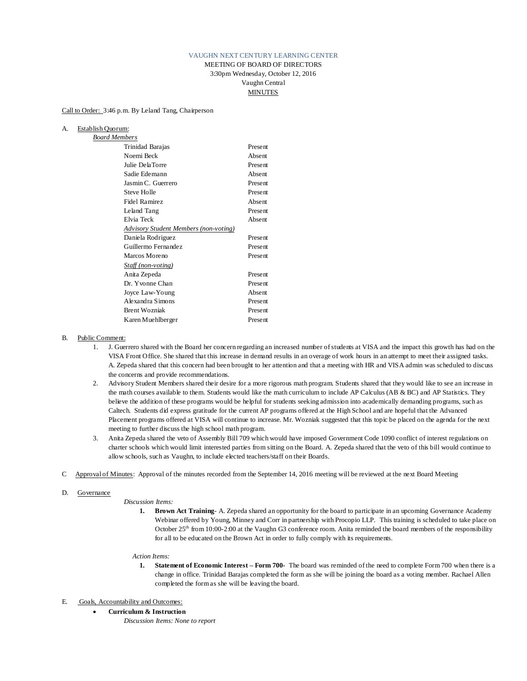## VAUGHN NEXT CENTURY LEARNING CENTER

MEETING OF BOARD OF DIRECTORS 3:30pm Wednesday, October 12, 2016 Vaughn Central MINUTES

Call to Order: 3:46 p.m. By Leland Tang, Chairperson

# A. Establish Quorum:

| <b>Board Members</b>                  |         |
|---------------------------------------|---------|
| Trinidad Barajas                      | Present |
| Noemi Beck                            | Absent  |
| Julie DelaTorre                       | Present |
| Sadie Edemann                         | Absent  |
| Jasmin C. Guerrero                    | Present |
| Steve Holle                           | Present |
| Fidel Ramirez                         | Absent  |
| Leland Tang                           | Present |
| Elvia Teck                            | Absent  |
| Advisory Student Members (non-voting) |         |
| Daniela Rodriguez                     | Present |
| Guillermo Fernandez                   | Present |
| Marcos Moreno                         | Present |
| Staff (non-voting)                    |         |
| Anita Zepeda                          | Present |
| Dr. Yvonne Chan                       | Present |
| Joyce Law-Young                       | Absent  |
| Alexandra Simons                      | Present |
| <b>Brent Wozniak</b>                  | Present |
| Karen Muehlberger                     | Present |
|                                       |         |

- B. Public Comment:
	- 1. J. Guerrero shared with the Board her concern regarding an increased number of students at VISA and the impact this growth has had on the VISA Front Office. She shared that this increase in demand results in an overage of work hours in an attempt to meet their assigned tasks. A. Zepeda shared that this concern had been brought to her attention and that a meeting with HR and VISA admin was scheduled to discuss the concerns and provide recommendations.
	- 2. Advisory Student Members shared their desire for a more rigorous math program. Students shared that they would like to see an increase in the math courses available to them. Students would like the math curriculum to include AP Calculus (AB & BC) and AP Statistics. They believe the addition of these programs would be helpful for students seeking admission into academically demanding programs, such as Caltech. Students did express gratitude for the current AP programs offered at the High School and are hopeful that the Advanced Placement programs offered at VISA will continue to increase. Mr. Wozniak suggested that this topic be placed on the agenda for the next meeting to further discuss the high school math program.
	- 3. Anita Zepeda shared the veto of Assembly Bill 709 which would have imposed Government Code 1090 conflict of interest regulations on charter schools which would limit interested parties from sitting on the Board. A. Zepeda shared that the veto of this bill would continue to allow schools, such as Vaughn, to include elected teachers/staff on their Boards.
- C Approval of Minutes: Approval of the minutes recorded from the September 14, 2016 meeting will be reviewed at the next Board Meeting

### D. Governance

*Discussion Items:*

**1. Brown Act Training**- A. Zepeda shared an opportunity for the board to participate in an upcoming Governance Academy Webinar offered by Young, Minney and Corr in partnership with Procopio LLP. This training is scheduled to take place on October  $25<sup>th</sup>$  from 10:00-2:00 at the Vaughn G3 conference room. Anita reminded the board members of the responsibility for all to be educated on the Brown Act in order to fully comply with its requirements.

### *Action Items:*

**1. Statement of Economic Interest – Form 700-** The board was reminded of the need to complete Form 700 when there is a change in office. Trinidad Barajas completed the form as she will be joining the board as a voting member. Rachael Allen completed the form as she will be leaving the board.

## E. Goals, Accountability and Outcomes:

- **Curriculum & Instruction**
	- *Discussion Items: None to report*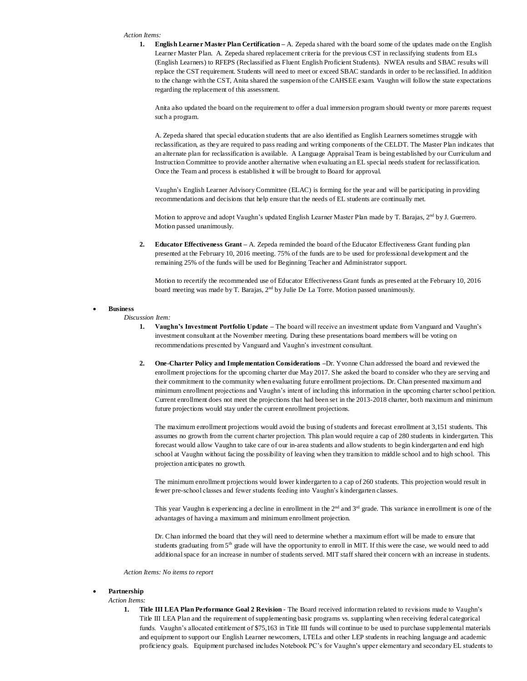#### *Action Items:*

**1. English Learner Master Plan Certification –** A. Zepeda shared with the board some of the updates made on the English Learner Master Plan. A. Zepeda shared replacement criteria for the previous CST in reclassifying students from ELs (English Learners) to RFEPS (Reclassified as Fluent English Proficient Students). NWEA results and SBAC results will replace the CST requirement. Students will need to meet or exceed SBAC standards in order to be reclassified. In addition to the change with the CST, Anita shared the suspension of the CAHSEE exam. Vaughn will follow the state expectations regarding the replacement of this assessment.

Anita also updated the board on the requirement to offer a dual immersion program should twenty or more parents request such a program.

A. Zepeda shared that special education students that are also identified as English Learners sometimes struggle with reclassification, as they are required to pass reading and writing components of the CELDT. The Master Plan indicates that an alternate plan for reclassification is available. A Language Appraisal Team is being established by our Curriculum and Instruction Committee to provide another alternative when evaluating an EL special needs student for reclassification. Once the Team and process is established it will be brought to Board for approval.

Vaughn's English Learner Advisory Committee (ELAC) is forming for the year and will be participating in providing recommendations and decisions that help ensure that the needs of EL students are continually met.

Motion to approve and adopt Vaughn's updated English Learner Master Plan made by T. Barajas, 2<sup>nd</sup> by J. Guerrero. Motion passed unanimously.

2. **Educator Effectiveness Grant** – A. Zepeda reminded the board of the Educator Effectiveness Grant funding plan presented at the February 10, 2016 meeting. 75% of the funds are to be used for professional development and the remaining 25% of the funds will be used for Beginning Teacher and Administrator support.

Motion to recertify the recommended use of Educator Effectiveness Grant funds as presented at the February 10, 2016 board meeting was made by T. Barajas, 2nd by Julie De La Torre. Motion passed unanimously.

### • **Business**

#### *Discussion Item:*

- **1. Vaughn's Investment Portfolio Update –** The board will receive an investment update from Vanguard and Vaughn's investment consultant at the November meeting. During these presentations board members will be voting on recommendations presented by Vanguard and Vaughn's investment consultant.
- **2. One-Charter Policy and Implementation Considerations –**Dr. Yvonne Chan addressed the board and reviewed the enrollment projections for the upcoming charter due May 2017. She asked the board to consider who they are serving and their commitment to the community when evaluating future enrollment projections. Dr. Chan presented maximum and minimum enrollment projections and Vaughn's intent of including this information in the upcoming charter school petition. Current enrollment does not meet the projections that had been set in the 2013-2018 charter, both maximum and minimum future projections would stay under the current enrollment projections.

The maximum enrollment projections would avoid the busing of students and forecast enrollment at 3,151 students. This assumes no growth from the current charter projection. This plan would require a cap of 280 students in kindergarten. This forecast would allow Vaughn to take care of our in-area students and allow students to begin kindergarten and end high school at Vaughn without facing the possibility of leaving when they transition to middle school and to high school. This projection anticipates no growth.

The minimum enrollment projections would lower kindergarten to a cap of 260 students. This projection would result in fewer pre-school classes and fewer students feeding into Vaughn's kindergarten classes.

This year Vaughn is experiencing a decline in enrollment in the  $2<sup>nd</sup>$  and  $3<sup>rd</sup>$  grade. This variance in enrollment is one of the advantages of having a maximum and minimum enrollment projection.

Dr. Chan informed the board that they will need to determine whether a maximum effort will be made to ensure that students graduating from 5<sup>th</sup> grade will have the opportunity to enroll in MIT. If this were the case, we would need to add additional space for an increase in number of students served. MIT staff shared their concern with an increase in students.

*Action Items: No items to report*

### • **Partnership**

#### *Action Items:*

**1. Title III LEA Plan Performance Goal 2 Revision** - The Board received information related to revisions made to Vaughn's Title III LEA Plan and the requirement of supplementing basic programs vs. supplanting when receiving federal categorical funds. Vaughn's allocated entitlement of \$75,163 in Title III funds will continue to be used to purchase supplemental materials and equipment to support our English Learner newcomers, LTELs and other LEP students in reaching language and academic proficiency goals. Equipment purchased includes Notebook PC's for Vaughn's upper elementary and secondary EL students to